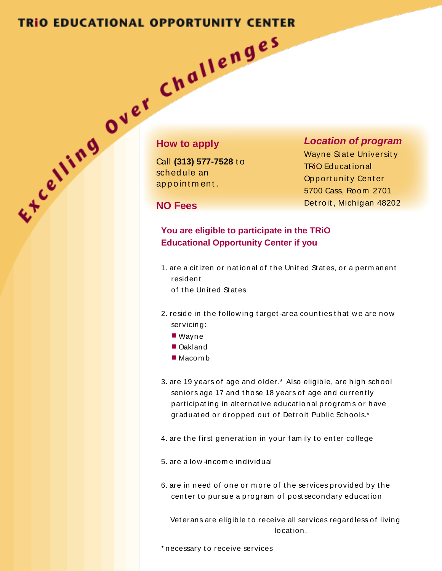## **TRIO EDUCATIONAL OPPORTUNITY CENTER**

## **How to apply**

Call **(313) 577-7528** t o sched ule an ap p oint m ent .

### *Location of program*

Wayne State University TRiO Ed ucat ional Opport unity Center 5700 Cass, Room 2701 Det roit , Michigan 48202

## **NO Fees**

## **You are eligible to participate in the TRiO Educational Opportunity Center if you**

- 1. are a citizen or national of the United States, or a permanent resident of t he Unit ed St at es
- 2. reside in the following target-area counties that we are now servicing:
	- Wayne
	- Oakland
	- $Macom b$
- 3. are 19 years of age and older.\* Also eligible, are high school seniors age 17 and those 18 years of age and currently part icipat ing in alt ernat ive educat ional program s or have graduat ed or dropped out of Det roit Public Schools.\*
- 4. are the first generation in your family to enter college
- 5. are a low -incom e individual
- 6. are in need of one or more of the services provided by the center to pursue a program of post secondary education

Vet erans are eligible to receive all services regardless of living locat ion.

\* necessary t o receive services